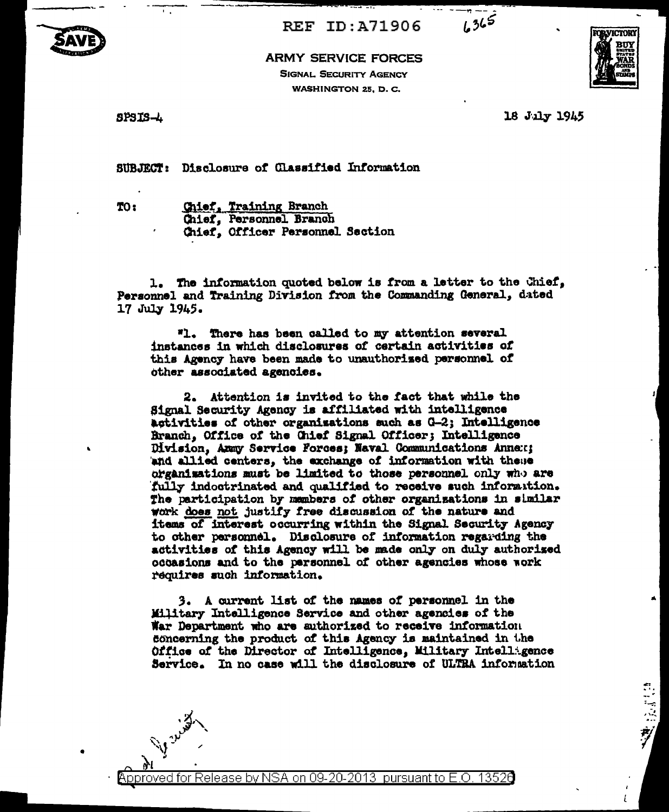

**REF ID: A71906** 



## **ARMY SERVICE FORCES SIGNAL SECURITY AGENCY**

WASHINGTON 25, D. C.



18 July 1945

VICTORY RM

SUBJECT: Disclosure of Classified Information

TO:

Chief, Training Branch Chief, Personnel Branch Chief. Officer Personnel Section

1. The information quoted below is from a letter to the Chief, Personnel and Training Division from the Commanding General, dated 17 July 1945.

"1. There has been called to my attention several instances in which disclosures of certain activities of this Agency have been made to unauthorized personnel of other associated agencies.

2. Attention is invited to the fact that while the Signal Security Agency is affiliated with intelligence activities of other organisations such as G-2; Intelligence Branch, Office of the Chief Signal Officer; Intelligence Division, Ammy Service Forces; Naval Communications Annex; and allied centers, the exchange of information with these organizations must be limited to those personnel only who are fully indoctrinated and qualified to receive such information. The participation by members of other organizations in similar work does not justify free discussion of the nature and items of interest occurring within the Signal Security Agency to other personnel. Disclosure of information regarding the activities of this Agency will be made only on duly authorized occasions and to the parsonnel of other agencies whose work requires such information.

3. A current list of the names of personnel in the Military Intelligence Service and other agencies of the War Department who are authorized to receive information concerning the product of this Agency is maintained in the Office of the Director of Intelligence, Military Intelligence Service. In no case will the disclosure of ULTRA information

pproved for Release by NSA on 09-20-2013 pursuant to E.O. 13526